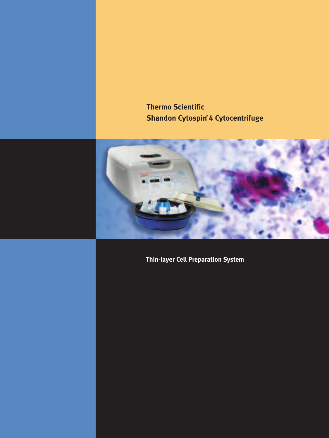**Thermo Scientific Shandon Cytospin® 4 Cytocentrifuge**



**Thin-layer Cell Preparation System**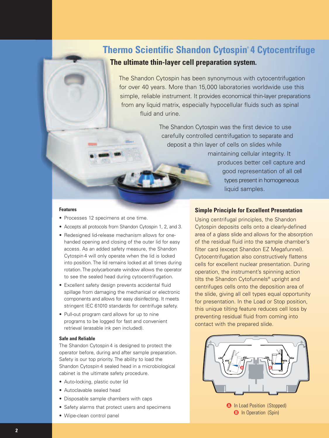# **Thermo Scientific Shandon Cytospin® 4 Cytocentrifuge**



**The ultimate thin-layer cell preparation system.**

The Shandon Cytospin has been synonymous with cytocentrifugation for over 40 years. More than 15,000 laboratories worldwide use this simple, reliable instrument. It provides economical thin-layer preparations from any liquid matrix, especially hypocellular fluids such as spinal fluid and urine.

> The Shandon Cytospin was the first device to use carefully controlled centrifugation to separate and deposit a thin layer of cells on slides while maintaining cellular integrity. It produces better cell capture and good representation of all cell types present in homogeneous liquid samples.

#### **Features**

- Processes 12 specimens at one time.
- Accepts all protocols from Shandon Cytospin 1, 2, and 3.
- Redesigned lid-release mechanism allows for onehanded opening and closing of the outer lid for easy access. As an added safety measure, the Shandon Cytospin 4 will only operate when the lid is locked into position. The lid remains locked at all times during rotation. The polycarbonate window allows the operator to see the sealed head during cytocentrifugation.
- Excellent safety design prevents accidental fluid spillage from damaging the mechanical or electronic components and allows for easy disinfecting. It meets stringent IEC 61010 standards for centrifuge safety.
- Pull-out program card allows for up to nine programs to be logged for fast and convenient retrieval (erasable ink pen included).

#### **Safe and Reliable**

The Shandon Cytospin 4 is designed to protect the operator before, during and after sample preparation. Safety is our top priority. The ability to load the Shandon Cytospin 4 sealed head in a microbiological cabinet is the ultimate safety procedure.

- Auto-locking, plastic outer lid
- Autoclavable sealed head
- Disposable sample chambers with caps
- Safety alarms that protect users and specimens
- Wipe-clean control panel

#### **Simple Principle for Excellent Presentation**

Using centrifugal principles, the Shandon Cytospin deposits cells onto a clearly-defined area of a glass slide and allows for the absorption of the residual fluid into the sample chamber's filter card (except Shandon EZ Megafunnel). Cytocentrifugation also constructively flattens cells for excellent nuclear presentation. During operation, the instrument's spinning action tilts the Shandon Cytofunnels® upright and centrifuges cells onto the deposition area of the slide, giving all cell types equal opportunity for presentation. In the Load or Stop position, this unique tilting feature reduces cell loss by preventing residual fluid from coming into contact with the prepared slide.



**B** In Operation (Spin)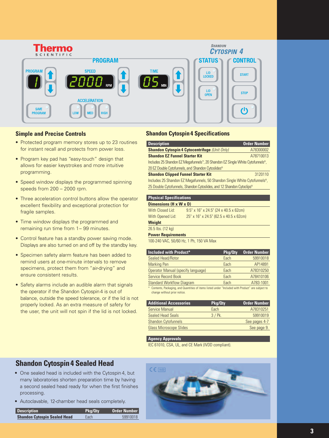

#### **Simple and Precise Controls**

- Protected program memory stores up to 23 routines for instant recall and protects from power loss.
- Program key pad has "easy-touch" design that allows for easier keystrokes and more intuitive programming.
- Speed window displays the programmed spinning speeds from 200 – 2000 rpm.
- Three acceleration control buttons allow the operator excellent flexibility and exceptional protection for fragile samples.
- Time window displays the programmed and remaining run time from 1– 99 minutes.
- Control feature has a standby power saving mode. Displays are also turned on and off by the standby key.
- Specimen safety alarm feature has been added to remind users at one-minute intervals to remove specimens, protect them from "air-drying" and ensure consistent results.
- Safety alarms include an audible alarm that signals the operator if the Shandon Cytospin4 is out of balance, outside the speed tolerance, or if the lid is not properly locked. As an extra measure of safety for the user, the unit will not spin if the lid is not locked.

#### **Shandon Cytospin 4 Specifications**

| <b>Description</b>                                                                                       | <b>Order Number</b> |  |
|----------------------------------------------------------------------------------------------------------|---------------------|--|
| <b>Shandon Cytospin 4 Cytocentrifuge (Unit Only)</b>                                                     | A78300002           |  |
| <b>Shandon EZ Funnel Starter Kit</b>                                                                     | A78710013           |  |
| Includes 25 Shandon EZ Megafunnels <sup>14</sup> , 20 Shandon EZ Single White Cytofunnels <sup>®</sup> , |                     |  |
| 20 EZ Double Cytofunnels, and Shandon Cytoslides <sup>®</sup>                                            |                     |  |
| <b>Shandon Clipped Funnel Starter Kit</b>                                                                | 3120110             |  |
| Includes 25 Shandon EZ Megafunnels, 50 Shandon Single White Cytofunnels <sup>®</sup> ,                   |                     |  |
| 25 Double Cytofunnels, Shandon Cytoslides, and 12 Shandon Cytoclips <sup>®</sup>                         |                     |  |

| <b>Physical Specifications</b>     |                                         |  |
|------------------------------------|-----------------------------------------|--|
| Dimensions $(H \times W \times D)$ |                                         |  |
| With Closed Lid:                   | $9.5"$ x 16" x 24.5" (24 x 40.5 x 62cm) |  |
| With Opened Lid:                   | 25" x 16" x 24.5" (62.5 x 40.5 x 62cm)  |  |
| <b>Weight</b>                      |                                         |  |
| 26.5 lbs. (12 kg)                  |                                         |  |

**Power Requirements**

100-240 VAC, 50/60 Hz, 1 Ph, 150 VA Max

| <b>Included with Product*</b>                                                                    | Pkg/Oty | <b>Order Number</b> |
|--------------------------------------------------------------------------------------------------|---------|---------------------|
| Sealed Head/Rotor                                                                                | Each    | 59910018            |
| <b>Marking Pen</b>                                                                               | Each    | AP14891             |
| Operator Manual (specify language)                                                               | Each    | A78310250           |
| <b>Service Record Book</b>                                                                       | Each    | A78410106           |
| <b>Standard Workflow Diagram</b>                                                                 | Each    | A783-1001           |
| Contents, Packaging, and Quantities of items listed under "Included with Product" are subject to |         |                     |
| change without prior notice.                                                                     |         |                     |

| <b>Additional Accessories</b>  | Pkg/Qty   | <b>Order Number</b> |
|--------------------------------|-----------|---------------------|
| Service Manual                 | Each      | A78310251           |
| <b>Sealed Head Seals</b>       | $3$ / Pk. | 59910019            |
| <b>Shandon Cytofunnels</b>     |           | See pages 4-7       |
| <b>Glass Microscope Slides</b> |           | See page 9.         |

#### **Agency Approvals**

IEC 61010, CSA, UL, and CE Mark (IVDD compliant).

### **Shandon Cytospin 4 Sealed Head**

- One sealed head is included with the Cytospin 4, but many laboratories shorten preparation time by having a second sealed head ready for when the first finishes processing.
- Autoclavable, 12-chamber head seals completely.

| <b>Description</b>                  | Pkg/Qty | Order Number |
|-------------------------------------|---------|--------------|
| <b>Shandon Cytospin Sealed Head</b> | Each    | 59910018     |

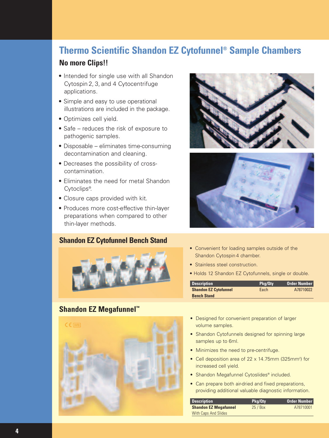# **Thermo Scientific Shandon EZ Cytofunnel® Sample Chambers**

### **No more Clips!!**

- Intended for single use with all Shandon Cytospin 2, 3, and 4 Cytocentrifuge applications.
- Simple and easy to use operational illustrations are included in the package.
- Optimizes cell yield.
- Safe reduces the risk of exposure to pathogenic samples.
- Disposable eliminates time-consuming decontamination and cleaning.
- Decreases the possibility of crosscontamination.
- Eliminates the need for metal Shandon Cytoclips® .
- Closure caps provided with kit.
- Produces more cost-effective thin-layer preparations when compared to other thin-layer methods.

### **Shandon EZ Cytofunnel Bench Stand**



### **Shandon EZ Megafunnel™**







- Convenient for loading samples outside of the Shandon Cytospin 4 chamber.
- Stainless steel construction.
- Holds 12 Shandon EZ Cytofunnels, single or double.

| <b>Description</b>           | Pkg/Qtv | <b>Order Number</b> |
|------------------------------|---------|---------------------|
| <b>Shandon EZ Cytofunnel</b> | Each    | A78710022           |
| <b>Bench Stand</b>           |         |                     |

- Designed for convenient preparation of larger volume samples.
- Shandon Cytofunnels designed for spinning large samples up to 6ml.
- Minimizes the need to pre-centrifuge.
- Cell deposition area of 22 x 14.75mm (325mm<sup>2</sup>) for increased cell yield.
- Shandon Megafunnel Cytoslides<sup>®</sup> included.
- Can prepare both air-dried and fixed preparations, providing additional valuable diagnostic information.

| <b>Description</b>           | Pkg/Qtv | <b>Order Number</b> |
|------------------------------|---------|---------------------|
| <b>Shandon EZ Megafunnel</b> | 25/Box  | A78710001           |
| <b>With Caps And Slides</b>  |         |                     |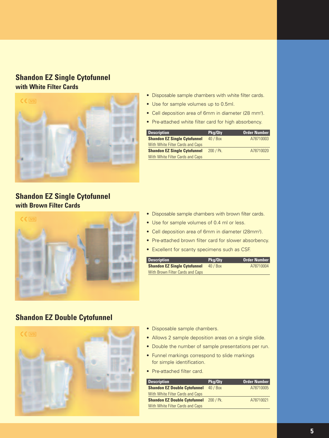### **Shandon EZ Single Cytofunnel with White Filter Cards**



### **Shandon EZ Single Cytofunnel with Brown Filter Cards**



- Disposable sample chambers with white filter cards.
- Use for sample volumes up to 0.5ml.
- Cell deposition area of 6mm in diameter (28 mm<sup>2</sup>).
- Pre-attached white filter card for high absorbency.

| <b>Description</b>                  | Pkg/Qty      | <b>Order Number</b> |
|-------------------------------------|--------------|---------------------|
| <b>Shandon EZ Single Cytofunnel</b> | 40/Box       | A78710003           |
| With White Filter Cards and Caps    |              |                     |
| <b>Shandon EZ Single Cytofunnel</b> | $200 / P$ k. | A78710020           |
| With White Filter Cards and Caps    |              |                     |

- Disposable sample chambers with brown filter cards.
- Use for sample volumes of 0.4 ml or less.
- Cell deposition area of 6mm in diameter (28mm<sup>2</sup>).
- Pre-attached brown filter card for slower absorbency.
- Excellent for scanty specimens such as CSF.

| <b>Description</b>                  | Pkg/Qtv | Order Number |
|-------------------------------------|---------|--------------|
| <b>Shandon EZ Single Cytofunnel</b> | 40/Box  | A78710004    |
| With Brown Filter Cards and Caps    |         |              |

### **Shandon EZ Double Cytofunnel**



- Disposable sample chambers.
- Allows 2 sample deposition areas on a single slide.
- Double the number of sample presentations per run.
- Funnel markings correspond to slide markings for simple identification.
- Pre-attached filter card.

| <b>Description</b>                  | Pkg/Qty      | <b>Order Number</b> |
|-------------------------------------|--------------|---------------------|
| <b>Shandon EZ Double Cytofunnel</b> | 40/Box       | A78710005           |
| With White Filter Cards and Caps    |              |                     |
| <b>Shandon EZ Double Cytofunnel</b> | $200 / P$ k. | A78710021           |
| With White Filter Cards and Caps    |              |                     |
|                                     |              |                     |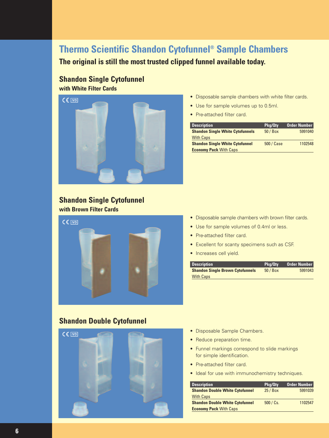# **Thermo Scientific Shandon Cytofunnel® Sample Chambers**

**The original is still the most trusted clipped funnel available today.**

# **Shandon Single Cytofunnel**

**with White Filter Cards**



- Disposable sample chambers with white filter cards.
- Use for sample volumes up to 0.5ml.
- Pre-attached filter card.

| <b>Description</b>                      | Pkg/Qty    | Order Number |
|-----------------------------------------|------------|--------------|
| <b>Shandon Single White Cytofunnels</b> | 50 / Box   | 5991040      |
| <b>With Caps</b>                        |            |              |
| <b>Shandon Single White Cytofunnel</b>  | 500 / Case | 1102548      |
| <b>Economy Pack With Caps</b>           |            |              |

### **Shandon Single Cytofunnel with Brown Filter Cards**



- Disposable sample chambers with brown filter cards.
- Use for sample volumes of 0.4ml or less.
- Pre-attached filter card.
- Excellent for scanty specimens such as CSF.
- Increases cell yield.

| <b>Description</b>                      | Pkg/Qtv | <b>Order Number</b> |
|-----------------------------------------|---------|---------------------|
| <b>Shandon Single Brown Cytofunnels</b> | 50/Box  | 5991043             |
| <b>With Caps</b>                        |         |                     |

### **Shandon Double Cytofunnel**



- Disposable Sample Chambers.
- Reduce preparation time.
- Funnel markings correspond to slide markings for simple identification.
- Pre-attached filter card.
- Ideal for use with immunochemistry techniques.

| <b>Description</b>                     | Pkg/Qty   | Order Number |
|----------------------------------------|-----------|--------------|
| <b>Shandon Double White Cytofunnel</b> | 25/Box    | 5991039      |
| <b>With Caps</b>                       |           |              |
| <b>Shandon Double White Cytofunnel</b> | 500 / Cs. | 1102547      |
| <b>Economy Pack With Caps</b>          |           |              |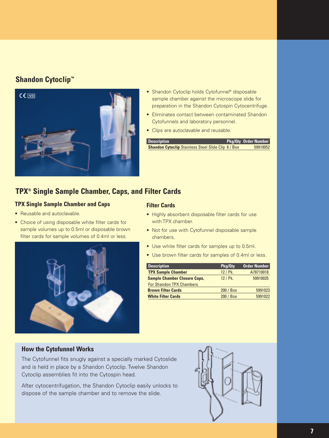### **Shandon Cytoclip™**



- Shandon Cytoclip holds Cytofunnel<sup>®</sup> disposable sample chamber against the microscope slide for preparation in the Shandon Cytospin Cytocentrifuge.
- Eliminates contact between contaminated Shandon Cytofunnels and laboratory personnel.
- Clips are autoclavable and reusable.

| <b>Description</b>                                       | <b>Pkg/Qty Order Number</b> |
|----------------------------------------------------------|-----------------------------|
| <b>Shandon Cytoclip Stainless Steel Slide Clip 6/Box</b> | 59910052                    |

### **TPX® Single Sample Chamber, Caps, and Filter Cards**

### **TPX Single Sample Chamber and Caps**

- Reusable and autoclavable.
- Choice of using disposable white filter cards for sample volumes up to 0.5ml or disposable brown filter cards for sample volumes of 0.4ml or less.



#### **Filter Cards**

- Highly absorbent disposable filter cards for use with TPX chamber.
- Not for use with Cytofunnel disposable sample chambers.
- Use white filter cards for samples up to 0.5ml.
- Use brown filter cards for samples of 0.4ml or less.

| <b>Description</b>                  | Pkg/Qty   | <b>Order Number</b> |
|-------------------------------------|-----------|---------------------|
| <b>TPX Sample Chamber</b>           | 12 / Pk.  | A78710018           |
| <b>Sample Chamber Closure Caps,</b> | 12 / Pk.  | 59910025            |
| <b>For Shandon TPX Chambers</b>     |           |                     |
| <b>Brown Filter Cards</b>           | 200 / Box | 5991023             |
| <b>White Filter Cards</b>           | 200 / Box | 5991022             |

### **How the Cytofunnel Works**

The Cytofunnel fits snugly against a specially marked Cytoslide and is held in place by a Shandon Cytoclip. Twelve Shandon Cytoclip assemblies fit into the Cytospin head.

After cytocentrifugation, the Shandon Cytoclip easily unlocks to dispose of the sample chamber and to remove the slide.

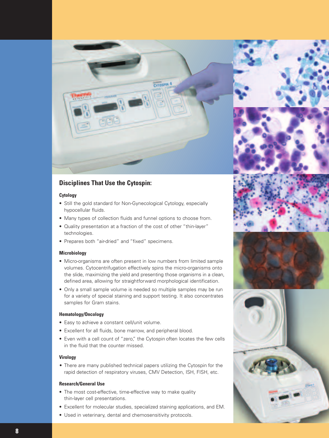

### **Disciplines That Use the Cytospin:**

#### **Cytology**

- Still the gold standard for Non-Gynecological Cytology, especially hypocellular fluids.
- Many types of collection fluids and funnel options to choose from.
- Quality presentation at a fraction of the cost of other "thin-layer" technologies.
- Prepares both "air-dried" and "fixed" specimens.

#### **Microbiology**

- Micro-organisms are often present in low numbers from limited sample volumes. Cytocentrifugation effectively spins the micro-organisms onto the slide, maximizing the yield and presenting those organisms in a clean, defined area, allowing for straightforward morphological identification.
- Only a small sample volume is needed so multiple samples may be run for a variety of special staining and support testing. It also concentrates samples for Gram stains.

#### **Hematology/Oncology**

- Easy to achieve a constant cell/unit volume.
- Excellent for all fluids, bone marrow, and peripheral blood.
- Even with a cell count of "zero," the Cytospin often locates the few cells in the fluid that the counter missed.

#### **Virology**

• There are many published technical papers utilizing the Cytospin for the rapid detection of respiratory viruses, CMV Detection, ISH, FISH, etc.

#### **Research/General Use**

- The most cost-effective, time-effective way to make quality thin-layer cell presentations.
- Excellent for molecular studies, specialized staining applications, and EM.
- Used in veterinary, dental and chemosensitivity protocols.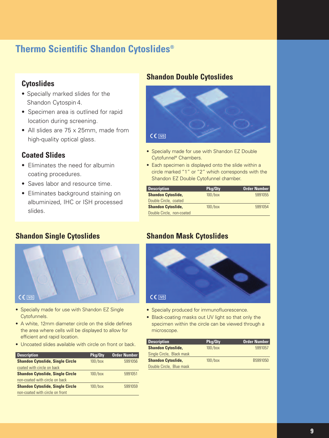# **Thermo Scientific Shandon Cytoslides®**

### **Cytoslides**

- Specially marked slides for the Shandon Cytospin 4.
- Specimen area is outlined for rapid location during screening.
- All slides are 75 x 25mm, made from high-quality optical glass.

### **Coated Slides**

- Eliminates the need for albumin coating procedures.
- Saves labor and resource time.
- Eliminates background staining on albuminized, IHC or ISH processed slides.

### **Shandon Single Cytoslides**



- Specially made for use with Shandon EZ Single Cytofunnels.
- A white, 12mm diameter circle on the slide defines the area where cells will be displayed to allow for efficient and rapid location.
- Uncoated slides available with circle on front or back.

| <b>Description</b>                      | Pkg/Qty    | <b>Order Number</b> |
|-----------------------------------------|------------|---------------------|
| <b>Shandon Cytoslide, Single Circle</b> | $100/b$ ox | 5991056             |
| coated with circle on back              |            |                     |
| <b>Shandon Cytoslide, Single Circle</b> | $100$ /box | 5991051             |
| non-coated with circle on back          |            |                     |
| <b>Shandon Cytoslide, Single Circle</b> | $100$ /box | 5991059             |
| non-coated with circle on front         |            |                     |
|                                         |            |                     |

### **Shandon Double Cytoslides**



- Specially made for use with Shandon EZ Double Cytofunnel® Chambers.
- Each specimen is displayed onto the slide within a circle marked "1" or "2" which corresponds with the Shandon EZ Double Cytofunnel chamber.

| <b>Description</b>        | Pkg/Qty    | Order Number |
|---------------------------|------------|--------------|
| <b>Shandon Cytoslide,</b> | $100$ /box | 5991055      |
| Double Circle, coated     |            |              |
| <b>Shandon Cytoslide,</b> | $100/b$ ox | 5991054      |
| Double Circle, non-coated |            |              |

### **Shandon Mask Cytoslides**



- Specially produced for immunofluorescence.
- Black-coating masks out UV light so that only the specimen within the circle can be viewed through a microscope.

| <b>Description</b>        | Pkg/Qty    | <b>Order Number</b> |
|---------------------------|------------|---------------------|
| <b>Shandon Cytoslide,</b> | $100/b$ ox | 5991057             |
| Single Circle, Black mask |            |                     |
| <b>Shandon Cytoslide,</b> | $100/b$ ox | B5991050            |
| Double Circle, Blue mask  |            |                     |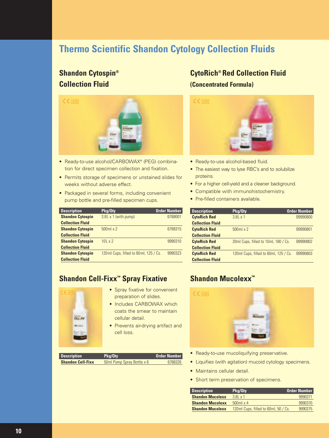# **Thermo Scientific Shandon Cytology Collection Fluids**

## **Shandon Cytospin® Collection Fluid**



- Ready-to-use alcohol/CARBOWAX® (PEG) combination for direct specimen collection and fixation.
- Permits storage of specimens or unstained slides for weeks without adverse effect.
- Packaged in several forms, including convenient pump bottle and pre-filled specimen cups.

| <b>Description</b>      | Pkg/Qty                                 | <b>Order Number</b> |
|-------------------------|-----------------------------------------|---------------------|
| <b>Shandon Cytospin</b> | 3.8L x 1 (with pump)                    | 6768001             |
| <b>Collection Fluid</b> |                                         |                     |
| <b>Shandon Cytospin</b> | $500ml \times 2$                        | 6768315             |
| <b>Collection Fluid</b> |                                         |                     |
| <b>Shandon Cytospin</b> | $101 \times 2$                          | 9990310             |
| <b>Collection Fluid</b> |                                         |                     |
| <b>Shandon Cytospin</b> | 120 ml Cups, filled to 60 ml, 125 / Cs. | 9990323             |
| <b>Collection Fluid</b> |                                         |                     |

### **Shandon Cell-Fixx™ Spray Fixative**



- Spray fixative for convenient preparation of slides.
- Includes CARBOWAX which coats the smear to maintain cellular detail.
- Prevents air-drying artifact and cell loss.

| <b>Description</b>       | Pkg/Qty                    | Order Number |
|--------------------------|----------------------------|--------------|
| <b>Shandon Cell-Fixx</b> | 50ml Pump Spray Bottle x 6 | 6768326      |

### **CytoRich® Red Collection Fluid (Concentrated Formula)**



- Ready-to-use alcohol-based fluid.
- The easiest way to lyse RBC's and to solubilize proteins.
- For a higher cell-yield and a cleaner background.
- Compatible with immunohistochemistry.
- Pre-filled containers available.

| <b>Description</b>      | Pkg/Oty                               | <b>Order Number</b> |
|-------------------------|---------------------------------------|---------------------|
| <b>CytoRich Red</b>     | $3.8L \times 1$                       | B9990800            |
| <b>Collection Fluid</b> |                                       |                     |
| <b>CytoRich Red</b>     | $500ml \times 2$                      | B9990801            |
| <b>Collection Fluid</b> |                                       |                     |
| <b>CytoRich Red</b>     | 20ml Cups, filled to 10ml, 180 / Cs.  | B9990802            |
| <b>Collection Fluid</b> |                                       |                     |
| <b>CytoRich Red</b>     | 120ml Cups, filled to 60ml, 125 / Cs. | B9990803            |
| <b>Collection Fluid</b> |                                       |                     |

# **Shandon Mucolexx™**



- Ready-to-use mucoliquifying preservative.
- Liquifies (with agitation) mucoid cytology specimens.
- Maintains cellular detail.
- Short term preservation of specimens.

| <b>Description</b>      | Pkg/Qty                              | <b>Order Number</b> |
|-------------------------|--------------------------------------|---------------------|
| <b>Shandon Mucolexx</b> | $3.8L \times 1$                      | 9990371             |
| <b>Shandon Mucolexx</b> | $500$ ml x 4                         | 9990370             |
| <b>Shandon Mucolexx</b> | 120ml Cups, filled to 60ml, 50 / Cs. | 9990375             |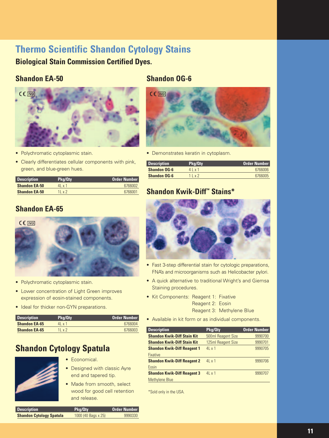# **Thermo Scientific Shandon Cytology Stains**

**Biological Stain Commission Certified Dyes.**

### **Shandon EA-50**

### **Shandon OG-6**



- Polychromatic cytoplasmic stain.
- Clearly differentiates cellular components with pink, green, and blue-green hues.

| <b>Description</b>   | Pkg/Qtv       | <b>Order Number</b> |
|----------------------|---------------|---------------------|
| <b>Shandon EA-50</b> | 4x1           | 6766002             |
| <b>Shandon EA-50</b> | $11 \times 2$ | 6766001             |

## **Shandon EA-65**



- Polychromatic cytoplasmic stain.
- Lower concentration of Light Green improves expression of eosin-stained components.
- Ideal for thicker non-GYN preparations.

| <b>Description</b>   | Pka/Qtv       | <b>Order Number</b> |
|----------------------|---------------|---------------------|
| <b>Shandon EA-65</b> | $41 \times 1$ | 6766004             |
| <b>Shandon EA-65</b> | 1 I v 2       | 6766003             |

# **Shandon Cytology Spatula**



- Economical.
- Designed with classic Ayre end and tapered tip.
- Made from smooth, select wood for good cell retention and release.

| <b>Description</b>              | Pkg/Qty             | <b>Order Number</b> |
|---------------------------------|---------------------|---------------------|
| <b>Shandon Cytology Spatula</b> | 1000 (40 Bags x 25) | 9990330             |



• Demonstrates keratin in cytoplasm.

| <b>Description</b>  | Pkg/Qty          | <b>Order Number</b> |
|---------------------|------------------|---------------------|
| <b>Shandon OG-6</b> | $4$   $\times$ 1 | 6766006             |
| <b>Shandon OG-6</b> | 11x2             | 6766005             |

### **Shandon Kwik-Diff™ Stains\***



- Fast 3-step differential stain for cytologic preparations, FNA's and microorganisms such as Helicobacter pylori.
- A quick alternative to traditional Wright's and Giemsa Staining procedures.
- Kit Components: Reagent 1: Fixative Reagent 2: Eosin

Reagent 3: Methylene Blue

• Available in kit form or as individual components.

| <b>Description</b>                 | Pkg/Qty            | <b>Order Number</b> |
|------------------------------------|--------------------|---------------------|
| <b>Shandon Kwik-Diff Stain Kit</b> | 500ml Reagent Size | 9990700             |
| <b>Shandon Kwik-Diff Stain Kit</b> | 125ml Reagent Size | 9990701             |
| <b>Shandon Kwik-Diff Reagent 1</b> | 4x1                | 9990705             |
| <b>Fixative</b>                    |                    |                     |
| <b>Shandon Kwik-Diff Reagent 2</b> | 4x1                | 9990706             |
| Eosin                              |                    |                     |
| <b>Shandon Kwik-Diff Reagent 3</b> | 4x1                | 9990707             |
| Methylene Blue                     |                    |                     |

\*Sold only in the USA.